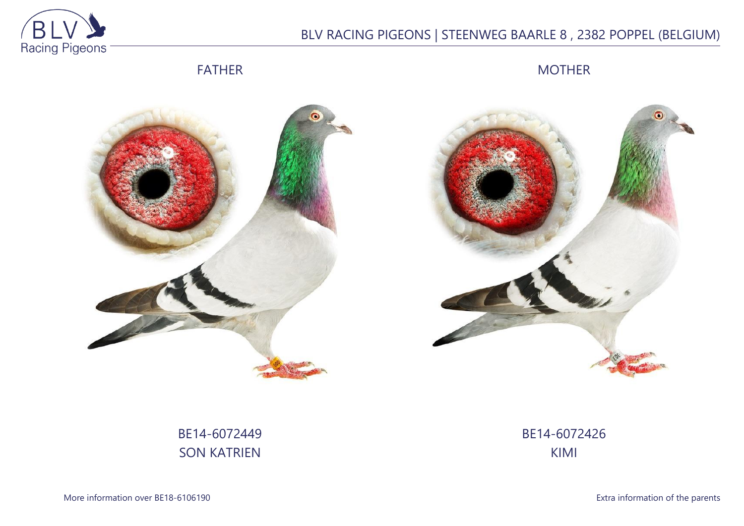

## BLV RACING PIGEONS | STEENWEG BAARLE 8 , 2382 POPPEL (BELGIUM)

FATHER

MOTHER





# BE14-6072449 SON KATRIEN

BE14-6072426 KIMI

More information over BE18-6106190 **Extra information of the parents**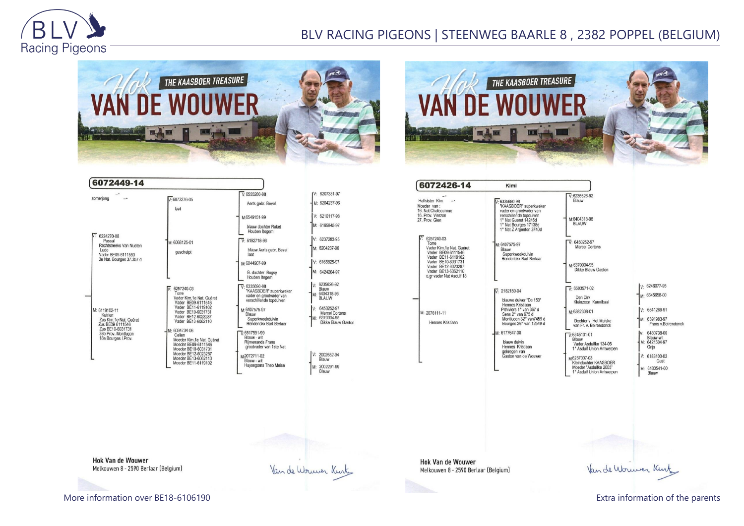

## BLV RACING PIGEONS | STEENWEG BAARLE 8 , 2382 POPPEL (BELGIUM)

Kimi

Blauw





| zomerjong                                                                                                                                 | $V: 6073276-05$<br>laat                                                                                                                                                                                                                                                                                                                        | $V: 6555280-98$<br>Aerts gebr. Bevel                                                                                                                                                                                                                                                                                            |
|-------------------------------------------------------------------------------------------------------------------------------------------|------------------------------------------------------------------------------------------------------------------------------------------------------------------------------------------------------------------------------------------------------------------------------------------------------------------------------------------------|---------------------------------------------------------------------------------------------------------------------------------------------------------------------------------------------------------------------------------------------------------------------------------------------------------------------------------|
| 6224270-08<br>Pascal<br>Rechtstreeks Van Nueten<br>Ludo<br>Vader BE09-6111553<br>3e Nat. Bourges 37.357 d                                 | M: 6068125-01<br>geschelpt                                                                                                                                                                                                                                                                                                                     | M:6549151-99<br>blauw dochter Raket<br>Houben Itegem<br>$V: 6192718-98$<br>blauw Aerts gebr. Bevel<br>laat<br>M:6044907-99<br>G. dochter Bugsy<br>Houben Itegem                                                                                                                                                                 |
| M: 6119102-11<br>Katrien<br>Zus Kim.1e Nat. Guéret<br>Zus BE09-6111546<br>Zus BE10-6031731<br>38e Prov. Montlucon<br>18e Bourges I. Prov. | 6257240-03<br>V.<br>Torre<br>Vader Kim.1e Nat. Guéret<br>Vader BE09-6111546<br>Vader BE11-6119102<br>Vader BE10-6031731<br>Vader BE12-6023287<br>Vader BE13-6062110<br>M: 6034734-06<br>Celien<br>Moeder Kim.1e Nat. Guéret<br>Moeder BE09-6111546<br>Moeder BE10-6031731<br>Moeder BE12-6023287<br>Moeder BE13-6062110<br>Moeder BE11-6119102 | $\nabla 6335690-98$<br>"KAASBOER" superkweker<br>vader en grootvader van<br>verschillende topduiven<br>M:6407575-97<br>Blauw<br>Superkweekduivin<br>Henderickx Bart Berlaar<br>$\nabla 6517591-99$<br>Blauw - wit<br><b>Rijmenands Frans</b><br>grootvader van 1ste Nat.<br>M-2072711-02<br>Blauw - wit<br>Huysegoms Theo Meise |

|    | /: 6207331-97                                                       |
|----|---------------------------------------------------------------------|
|    | M: 6204237-96                                                       |
|    | V: 6210117-98                                                       |
|    | M: 6165845-97                                                       |
|    | V: 6237283-95                                                       |
|    | M: 6204237-96                                                       |
|    | V: 6165825-97                                                       |
|    | M: 6424264-97                                                       |
| ŕ. | 6235626-92<br>Blauw<br>6404318-96<br>M:<br><b>BLAUW</b>             |
|    | /; 6450252-97<br>Marcel Cortens<br>6370004-95<br>Dikke Blauw Gaston |
|    | 2002652-94<br>Blauw                                                 |
|    | 2002291-99<br>Blauw                                                 |

Van de Wouwer Kurt

| 27. Prov. Gien<br>6257240-03<br>Torre<br>Vader Kim.1e Nat. Guéret<br>Vader BE09-6111546                          |  |
|------------------------------------------------------------------------------------------------------------------|--|
|                                                                                                                  |  |
| Vader BE11-6119102<br>Vader BE10-6031731<br>Vader BE12-6023287<br>Vader BE13-6062110<br>o.gr vader Nat Asduif 18 |  |
| M: 2076111-11<br>Hennes Kristiaan                                                                                |  |





**Hok Van de Wouwer** Melkouwen 8 - 2590 Berlaar (Belgium)

**Hok Van de Wouwer** Melkouwen 8 - 2590 Berlaar (Belgium)

More information over BE18-6106190 **Extra information of the parents** Extra information of the parents

Van de Worwer Kint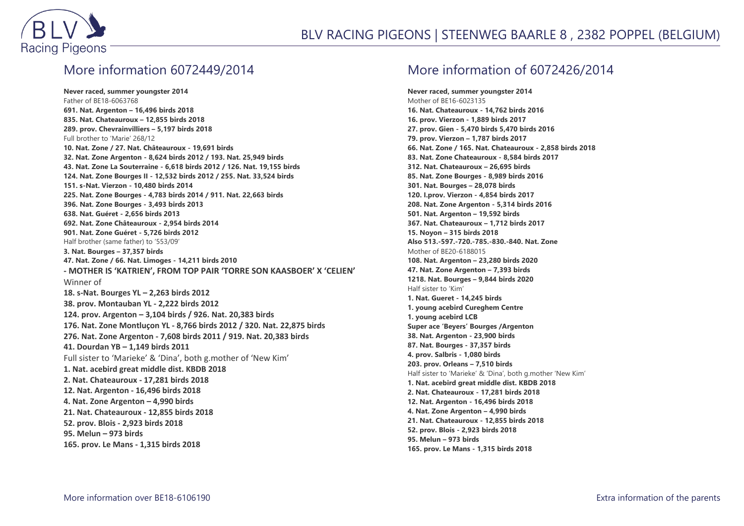

#### More information 6072449/2014

**Never raced, summer youngster 2014** Father of BE18-6063768 **691. Nat. Argenton – 16,496 birds 2018 835. Nat. Chateauroux – 12,855 birds 2018 289. prov. Chevrainvilliers – 5,197 birds 2018** Full brother to 'Marie' 268/12 **10. Nat. Zone / 27. Nat. Châteauroux - 19,691 birds 32. Nat. Zone Argenton - 8,624 birds 2012 / 193. Nat. 25,949 birds 43. Nat. Zone La Souterraine - 6,618 birds 2012 / 126. Nat. 19,155 birds 124. Nat. Zone Bourges II - 12,532 birds 2012 / 255. Nat. 33,524 birds 151. s-Nat. Vierzon - 10,480 birds 2014 225. Nat. Zone Bourges - 4,783 birds 2014 / 911. Nat. 22,663 birds 396. Nat. Zone Bourges - 3,493 birds 2013 638. Nat. Guéret - 2,656 birds 2013 692. Nat. Zone Châteauroux - 2,954 birds 2014 901. Nat. Zone Guéret - 5,726 birds 2012** Half brother (same father) to '553/09' **3. Nat. Bourges – 37,357 birds 47. Nat. Zone / 66. Nat. Limoges - 14,211 birds 2010 - MOTHER IS 'KATRIEN', FROM TOP PAIR 'TORRE SON KAASBOER' X 'CELIEN'** Winner of **18. s-Nat. Bourges YL – 2,263 birds 2012 38. prov. Montauban YL - 2,222 birds 2012 124. prov. Argenton – 3,104 birds / 926. Nat. 20,383 birds 176. Nat. Zone Montluçon YL - 8,766 birds 2012 / 320. Nat. 22,875 birds 276. Nat. Zone Argenton - 7,608 birds 2011 / 919. Nat. 20,383 birds 41. Dourdan YB – 1,149 birds 2011** Full sister to 'Marieke' & 'Dina', both g.mother of 'New Kim' **1. Nat. acebird great middle dist. KBDB 2018 2. Nat. Chateauroux - 17,281 birds 2018 12. Nat. Argenton - 16,496 birds 2018 4. Nat. Zone Argenton – 4,990 birds 21. Nat. Chateauroux - 12,855 birds 2018 52. prov. Blois - 2,923 birds 2018 95. Melun – 973 birds 165. prov. Le Mans - 1,315 birds 2018**

### More information of 6072426/2014

**Never raced, summer youngster 2014** Mother of BE16-6023135 **16. Nat. Chateauroux - 14,762 birds 2016 16. prov. Vierzon - 1,889 birds 2017 27. prov. Gien - 5,470 birds 5,470 birds 2016 79. prov. Vierzon – 1,787 birds 2017 66. Nat. Zone / 165. Nat. Chateauroux - 2,858 birds 2018 83. Nat. Zone Chateauroux - 8,584 birds 2017 312. Nat. Chateauroux – 26,695 birds 85. Nat. Zone Bourges - 8,989 birds 2016 301. Nat. Bourges – 28,078 birds 120. I.prov. Vierzon - 4,854 birds 2017 208. Nat. Zone Argenton - 5,314 birds 2016 501. Nat. Argenton – 19,592 birds 367. Nat. Chateauroux – 1,712 birds 2017 15. Noyon – 315 birds 2018 Also 513.-597.-720.-785.-830.-840. Nat. Zone** Mother of BE20-6188015 **108. Nat. Argenton – 23,280 birds 2020 47. Nat. Zone Argenton – 7,393 birds 1218. Nat. Bourges – 9,844 birds 2020** Half sister to 'Kim' **1. Nat. Gueret - 14,245 birds 1. young acebird Cureghem Centre 1. young acebird LCB Super ace 'Beyers' Bourges /Argenton 38. Nat. Argenton - 23,900 birds 87. Nat. Bourges - 37,357 birds 4. prov. Salbris - 1,080 birds 203. prov. Orleans – 7,510 birds** Half sister to 'Marieke' & 'Dina', both g.mother 'New Kim' **1. Nat. acebird great middle dist. KBDB 2018 2. Nat. Chateauroux - 17,281 birds 2018 12. Nat. Argenton - 16,496 birds 2018 4. Nat. Zone Argenton – 4,990 birds 21. Nat. Chateauroux - 12,855 birds 2018 52. prov. Blois - 2,923 birds 2018 95. Melun – 973 birds 165. prov. Le Mans - 1,315 birds 2018**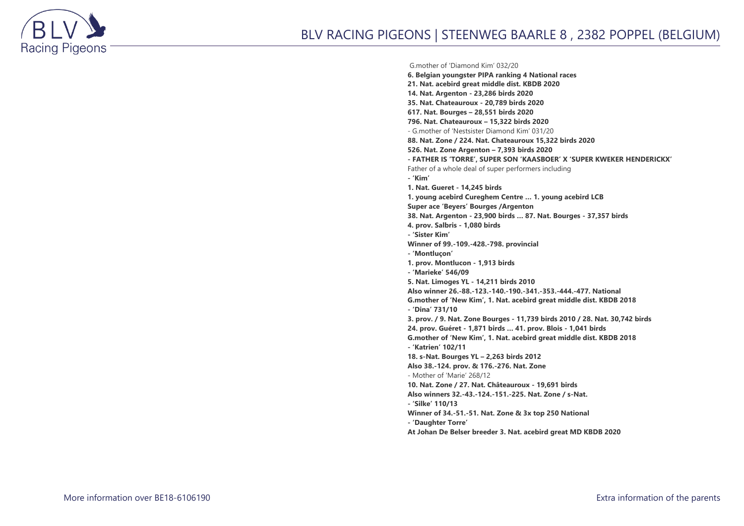

#### G.mother of 'Diamond Kim' 032/20

**6. Belgian youngster PIPA ranking 4 National races 21. Nat. acebird great middle dist. KBDB 2020 14. Nat. Argenton - 23,286 birds 2020 35. Nat. Chateauroux - 20,789 birds 2020 617. Nat. Bourges – 28,551 birds 2020 796. Nat. Chateauroux – 15,322 birds 2020** - G.mother of 'Nestsister Diamond Kim' 031/20 **88. Nat. Zone / 224. Nat. Chateauroux 15,322 birds 2020 526. Nat. Zone Argenton – 7,393 birds 2020 - FATHER IS 'TORRE', SUPER SON 'KAASBOER' X 'SUPER KWEKER HENDERICKX'** Father of a whole deal of super performers including **- 'Kim' 1. Nat. Gueret - 14,245 birds 1. young acebird Cureghem Centre … 1. young acebird LCB Super ace 'Beyers' Bourges /Argenton 38. Nat. Argenton - 23,900 birds … 87. Nat. Bourges - 37,357 birds 4. prov. Salbris - 1,080 birds - 'Sister Kim' Winner of 99.-109.-428.-798. provincial - 'Montluçon' 1. prov. Montlucon - 1,913 birds - 'Marieke' 546/09 5. Nat. Limoges YL - 14,211 birds 2010 Also winner 26.-88.-123.-140.-190.-341.-353.-444.-477. National G.mother of 'New Kim', 1. Nat. acebird great middle dist. KBDB 2018 - 'Dina' 731/10 3. prov. / 9. Nat. Zone Bourges - 11,739 birds 2010 / 28. Nat. 30,742 birds 24. prov. Guéret - 1,871 birds … 41. prov. Blois - 1,041 birds G.mother of 'New Kim', 1. Nat. acebird great middle dist. KBDB 2018 - 'Katrien' 102/11 18. s-Nat. Bourges YL – 2,263 birds 2012 Also 38.-124. prov. & 176.-276. Nat. Zone** - Mother of 'Marie' 268/12 **10. Nat. Zone / 27. Nat. Châteauroux - 19,691 birds Also winners 32.-43.-124.-151.-225. Nat. Zone / s-Nat. - 'Silke' 110/13 Winner of 34.-51.-51. Nat. Zone & 3x top 250 National - 'Daughter Torre' At Johan De Belser breeder 3. Nat. acebird great MD KBDB 2020**